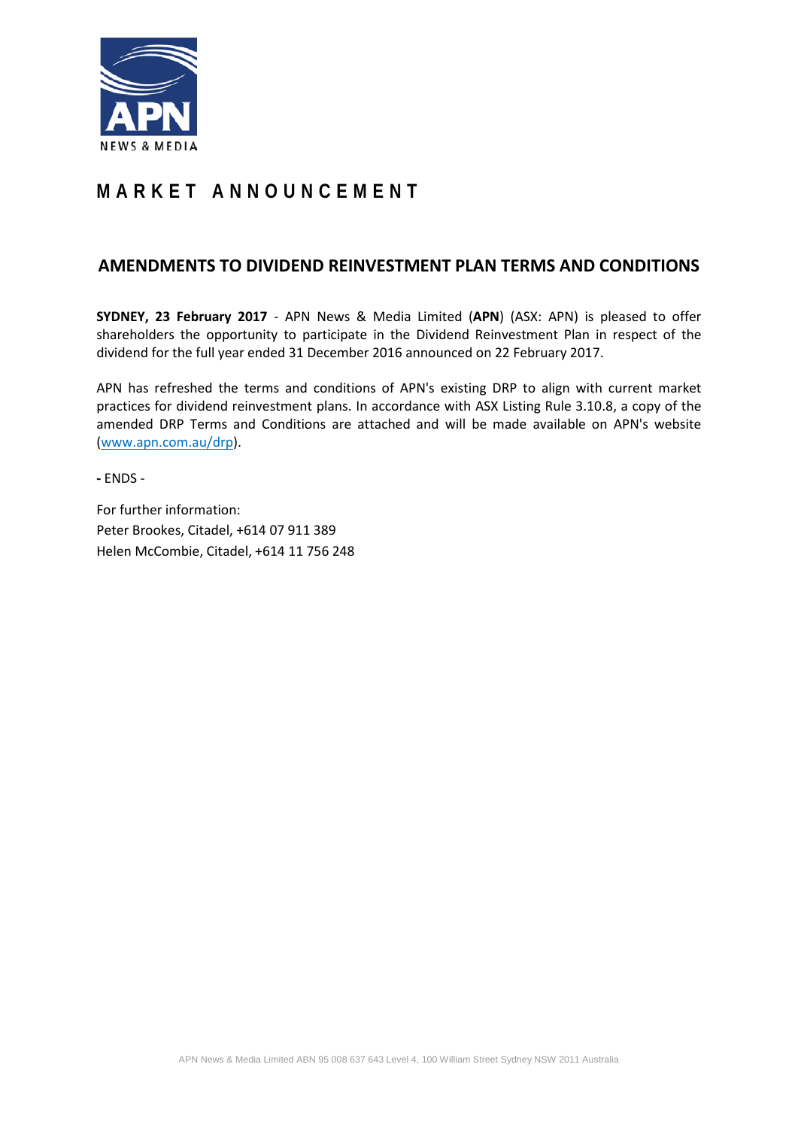

# **MARKET ANNOUNCEMENT**

## **AMENDMENTS TO DIVIDEND REINVESTMENT PLAN TERMS AND CONDITIONS**

**SYDNEY, 23 February 2017** - APN News & Media Limited (**APN**) (ASX: APN) is pleased to offer shareholders the opportunity to participate in the Dividend Reinvestment Plan in respect of the dividend for the full year ended 31 December 2016 announced on 22 February 2017.

APN has refreshed the terms and conditions of APN's existing DRP to align with current market practices for dividend reinvestment plans. In accordance with ASX Listing Rule 3.10.8, a copy of the amended DRP Terms and Conditions are attached and will be made available on APN's website (www.apn.com.au/drp).

**-** ENDS -

For further information: Peter Brookes, Citadel, +614 07 911 389 Helen McCombie, Citadel, +614 11 756 248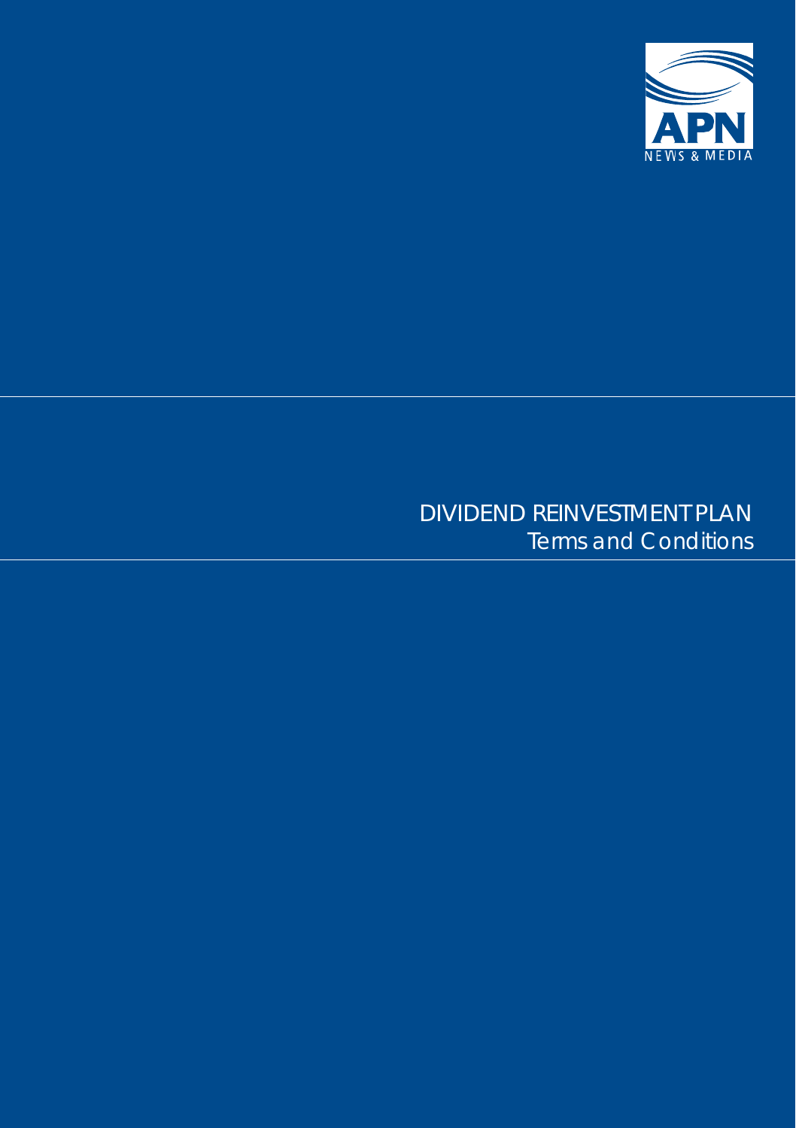

## DIVIDEND REINVESTMENT PLAN Terms and Conditions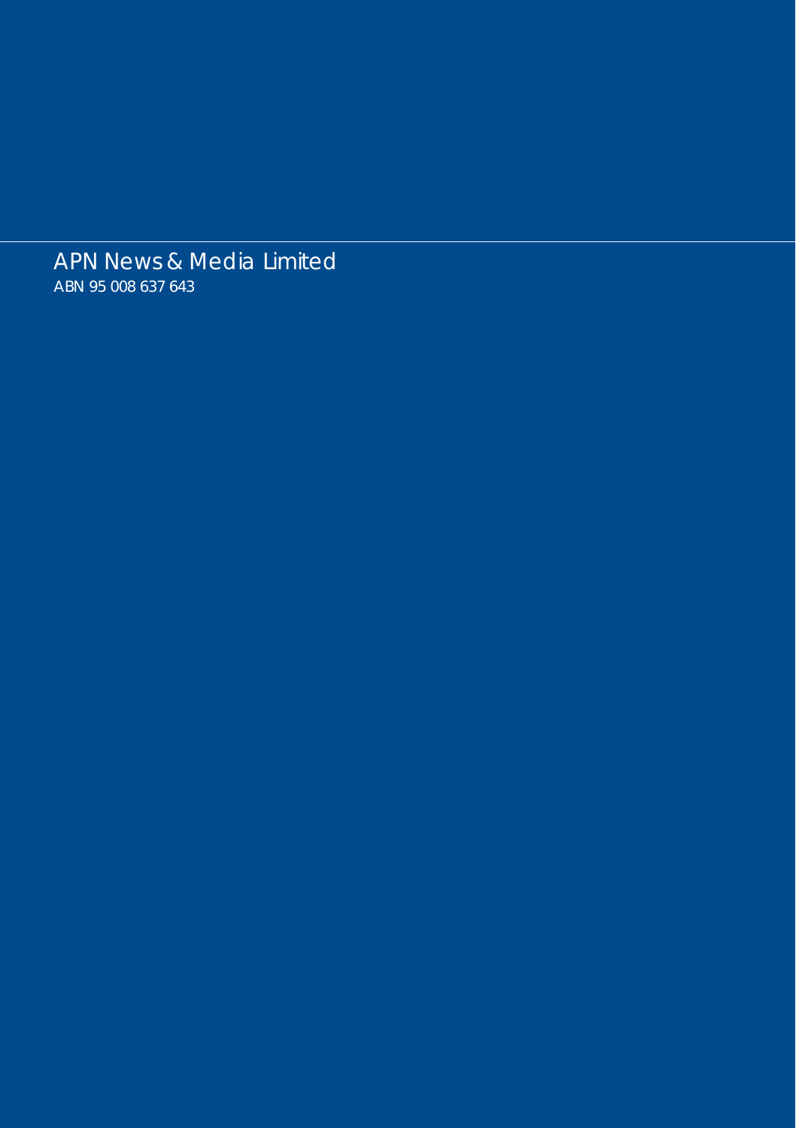APN News & Media Limited ABN 95 008 637 643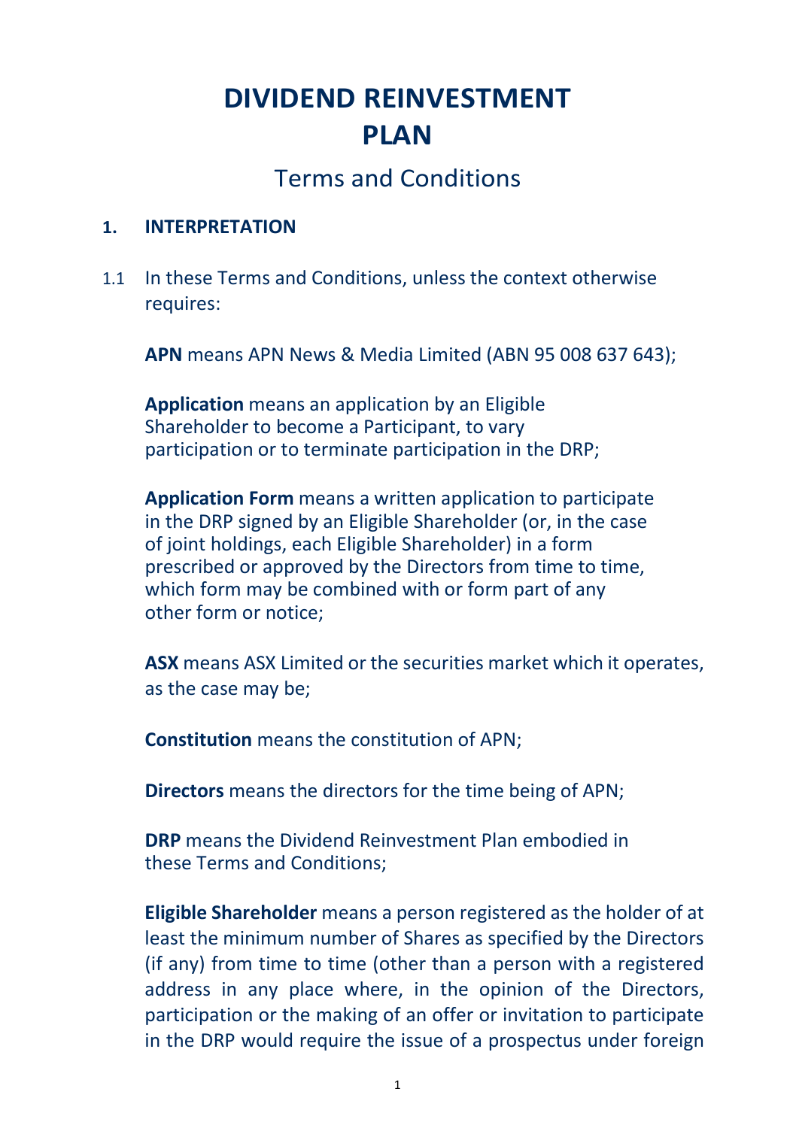# **DIVIDEND REINVESTMENT PLAN**

## Terms and Conditions

#### **1. INTERPRETATION**

1.1 In these Terms and Conditions, unless the context otherwise requires:

**APN** means APN News & Media Limited (ABN 95 008 637 643);

**Application** means an application by an Eligible Shareholder to become a Participant, to vary participation or to terminate participation in the DRP;

**Application Form** means a written application to participate in the DRP signed by an Eligible Shareholder (or, in the case of joint holdings, each Eligible Shareholder) in a form prescribed or approved by the Directors from time to time, which form may be combined with or form part of any other form or notice;

**ASX** means ASX Limited or the securities market which it operates, as the case may be;

**Constitution** means the constitution of APN;

**Directors** means the directors for the time being of APN;

**DRP** means the Dividend Reinvestment Plan embodied in these Terms and Conditions;

**Eligible Shareholder** means a person registered as the holder of at least the minimum number of Shares as specified by the Directors (if any) from time to time (other than a person with a registered address in any place where, in the opinion of the Directors, participation or the making of an offer or invitation to participate in the DRP would require the issue of a prospectus under foreign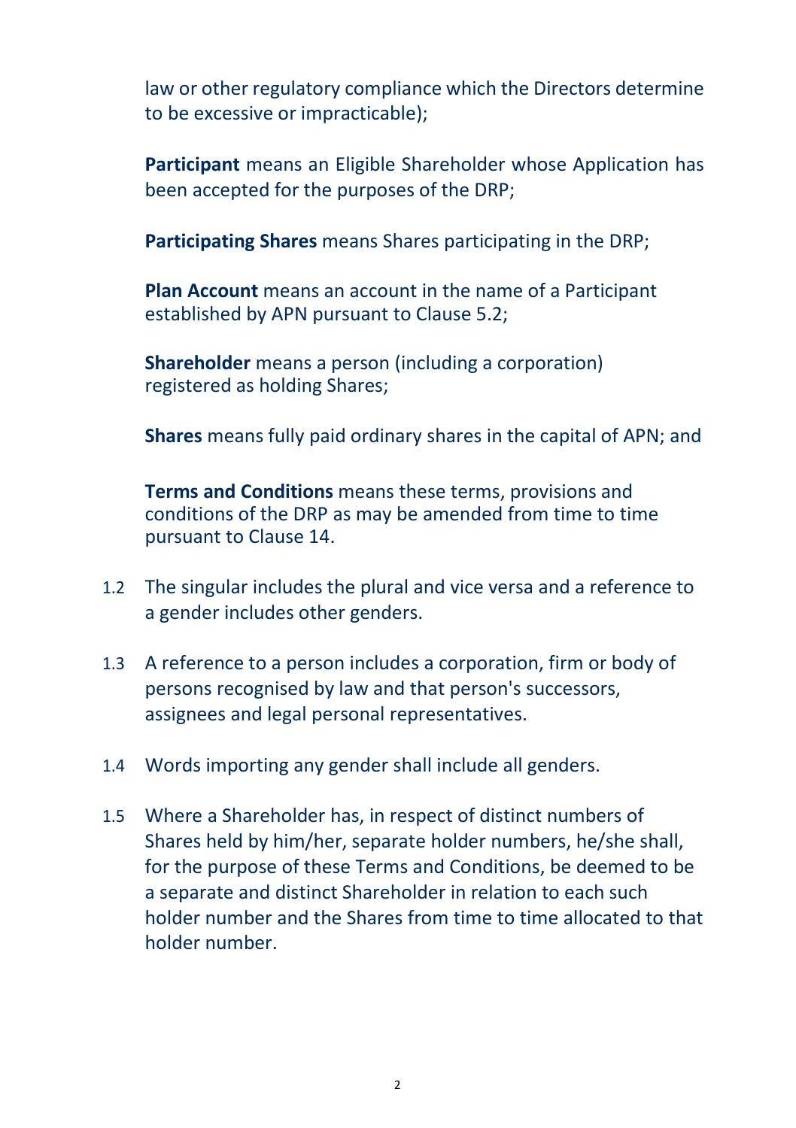law or other regulatory compliance which the Directors determine to be excessive or impracticable);

**Participant** means an Eligible Shareholder whose Application has been accepted for the purposes of the DRP;

**Participating Shares** means Shares participating in the DRP;

**Plan Account** means an account in the name of a Participant established by APN pursuant to Clause 5.2;

**Shareholder** means a person (including a corporation) registered as holding Shares;

**Shares** means fully paid ordinary shares in the capital of APN; and

**Terms and Conditions** means these terms, provisions and conditions of the DRP as may be amended from time to time pursuant to Clause 14.

- 1.2 The singular includes the plural and vice versa and a reference to a gender includes other genders.
- 1.3 A reference to a person includes a corporation, firm or body of persons recognised by law and that person's successors, assignees and legal personal representatives.
- 1.4 Words importing any gender shall include all genders.
- 1.5 Where a Shareholder has, in respect of distinct numbers of Shares held by him/her, separate holder numbers, he/she shall, for the purpose of these Terms and Conditions, be deemed to be a separate and distinct Shareholder in relation to each such holder number and the Shares from time to time allocated to that holder number.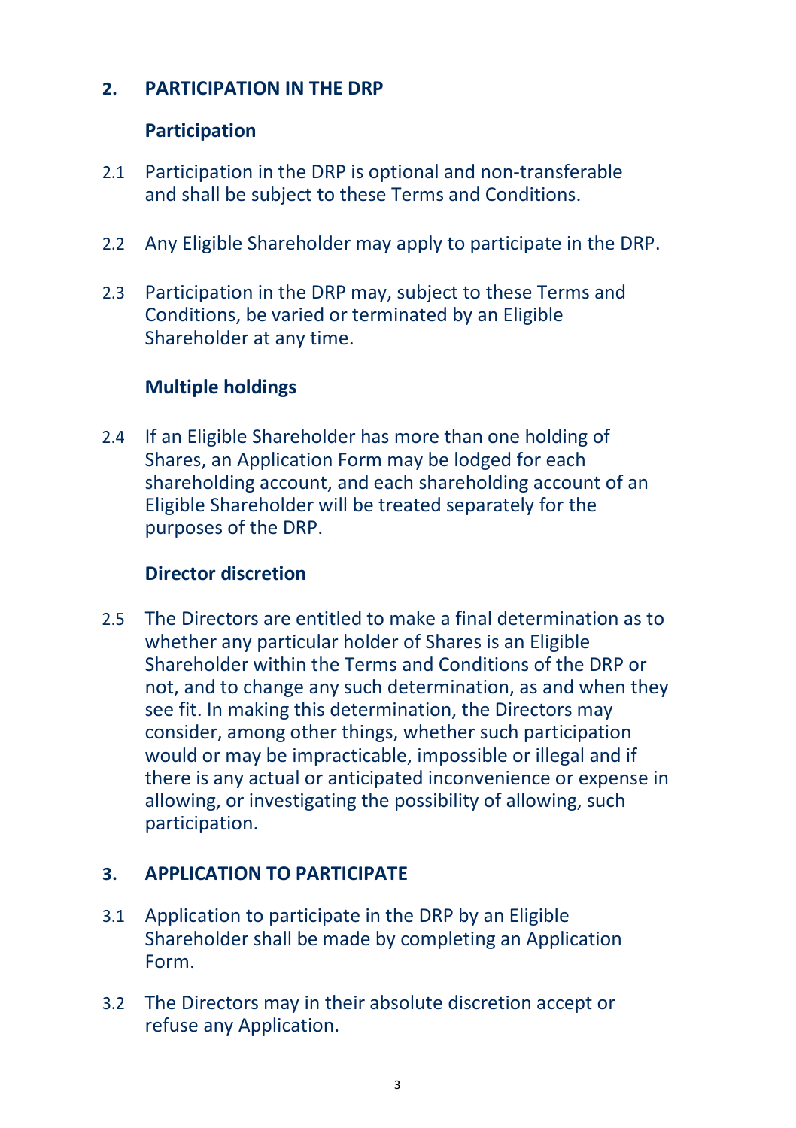#### **2. PARTICIPATION IN THE DRP**

#### **Participation**

- 2.1 Participation in the DRP is optional and non-transferable and shall be subject to these Terms and Conditions.
- 2.2 Any Eligible Shareholder may apply to participate in the DRP.
- 2.3 Participation in the DRP may, subject to these Terms and Conditions, be varied or terminated by an Eligible Shareholder at any time.

#### **Multiple holdings**

2.4 If an Eligible Shareholder has more than one holding of Shares, an Application Form may be lodged for each shareholding account, and each shareholding account of an Eligible Shareholder will be treated separately for the purposes of the DRP.

#### **Director discretion**

2.5 The Directors are entitled to make a final determination as to whether any particular holder of Shares is an Eligible Shareholder within the Terms and Conditions of the DRP or not, and to change any such determination, as and when they see fit. In making this determination, the Directors may consider, among other things, whether such participation would or may be impracticable, impossible or illegal and if there is any actual or anticipated inconvenience or expense in allowing, or investigating the possibility of allowing, such participation.

### **3. APPLICATION TO PARTICIPATE**

- 3.1 Application to participate in the DRP by an Eligible Shareholder shall be made by completing an Application Form.
- 3.2 The Directors may in their absolute discretion accept or refuse any Application.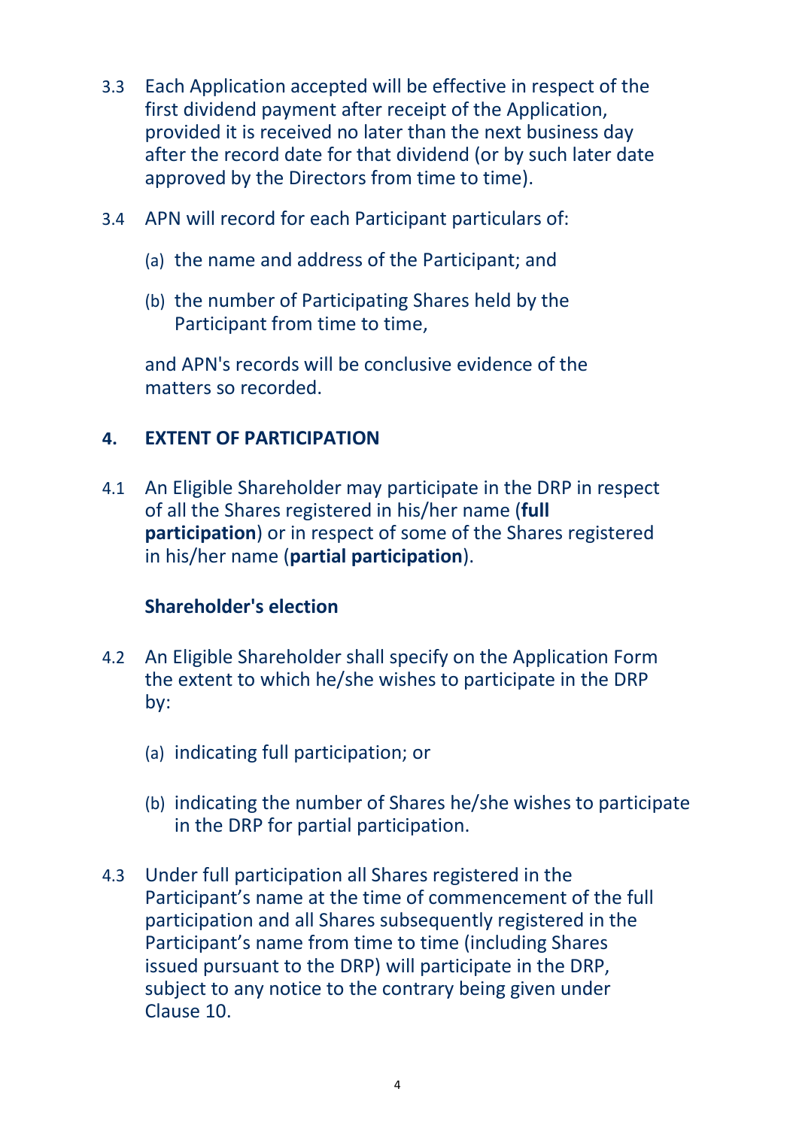- 3.3 Each Application accepted will be effective in respect of the first dividend payment after receipt of the Application, provided it is received no later than the next business day after the record date for that dividend (or by such later date approved by the Directors from time to time).
- 3.4 APN will record for each Participant particulars of:
	- (a) the name and address of the Participant; and
	- (b) the number of Participating Shares held by the Participant from time to time,

and APN's records will be conclusive evidence of the matters so recorded.

### **4. EXTENT OF PARTICIPATION**

4.1 An Eligible Shareholder may participate in the DRP in respect of all the Shares registered in his/her name (**full participation**) or in respect of some of the Shares registered in his/her name (**partial participation**).

### **Shareholder's election**

- 4.2 An Eligible Shareholder shall specify on the Application Form the extent to which he/she wishes to participate in the DRP by:
	- (a) indicating full participation; or
	- (b) indicating the number of Shares he/she wishes to participate in the DRP for partial participation.
- 4.3 Under full participation all Shares registered in the Participant's name at the time of commencement of the full participation and all Shares subsequently registered in the Participant's name from time to time (including Shares issued pursuant to the DRP) will participate in the DRP, subject to any notice to the contrary being given under Clause 10.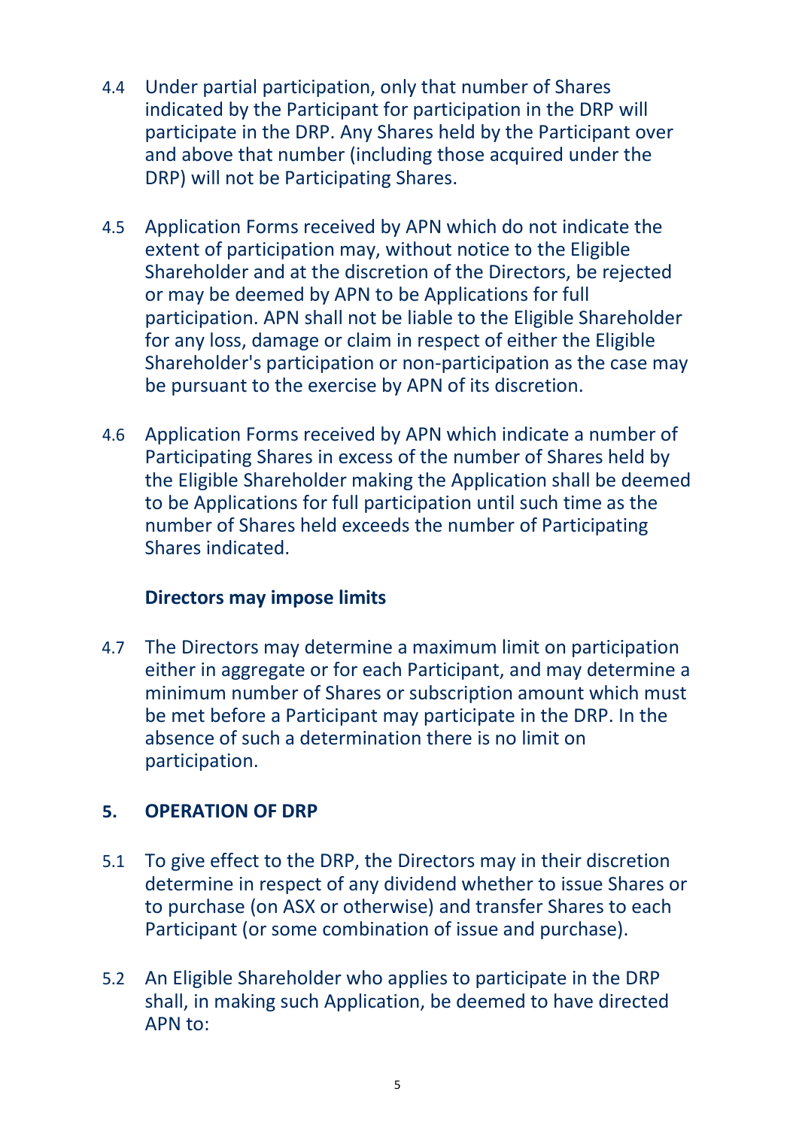- 4.4 Under partial participation, only that number of Shares indicated by the Participant for participation in the DRP will participate in the DRP. Any Shares held by the Participant over and above that number (including those acquired under the DRP) will not be Participating Shares.
- 4.5 Application Forms received by APN which do not indicate the extent of participation may, without notice to the Eligible Shareholder and at the discretion of the Directors, be rejected or may be deemed by APN to be Applications for full participation. APN shall not be liable to the Eligible Shareholder for any loss, damage or claim in respect of either the Eligible Shareholder's participation or non-participation as the case may be pursuant to the exercise by APN of its discretion.
- 4.6 Application Forms received by APN which indicate a number of Participating Shares in excess of the number of Shares held by the Eligible Shareholder making the Application shall be deemed to be Applications for full participation until such time as the number of Shares held exceeds the number of Participating Shares indicated.

#### **Directors may impose limits**

4.7 The Directors may determine a maximum limit on participation either in aggregate or for each Participant, and may determine a minimum number of Shares or subscription amount which must be met before a Participant may participate in the DRP. In the absence of such a determination there is no limit on participation.

### **5. OPERATION OF DRP**

- 5.1 To give effect to the DRP, the Directors may in their discretion determine in respect of any dividend whether to issue Shares or to purchase (on ASX or otherwise) and transfer Shares to each Participant (or some combination of issue and purchase).
- 5.2 An Eligible Shareholder who applies to participate in the DRP shall, in making such Application, be deemed to have directed APN to: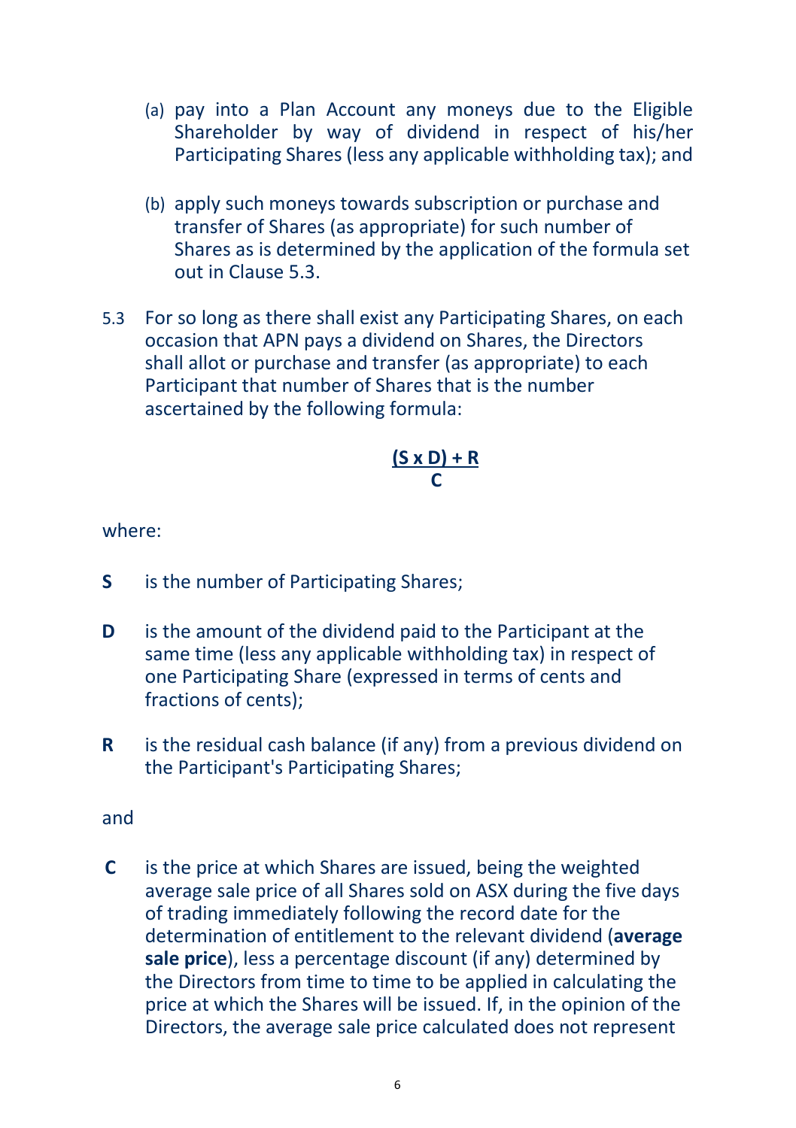- (a) pay into a Plan Account any moneys due to the Eligible Shareholder by way of dividend in respect of his/her Participating Shares (less any applicable withholding tax); and
- (b) apply such moneys towards subscription or purchase and transfer of Shares (as appropriate) for such number of Shares as is determined by the application of the formula set out in Clause 5.3.
- 5.3 For so long as there shall exist any Participating Shares, on each occasion that APN pays a dividend on Shares, the Directors shall allot or purchase and transfer (as appropriate) to each Participant that number of Shares that is the number ascertained by the following formula:

$$
\frac{(S \times D) + R}{C}
$$

where:

- **S** is the number of Participating Shares;
- **D** is the amount of the dividend paid to the Participant at the same time (less any applicable withholding tax) in respect of one Participating Share (expressed in terms of cents and fractions of cents);
- **R** is the residual cash balance (if any) from a previous dividend on the Participant's Participating Shares;

and

**C** is the price at which Shares are issued, being the weighted average sale price of all Shares sold on ASX during the five days of trading immediately following the record date for the determination of entitlement to the relevant dividend (**average sale price**), less a percentage discount (if any) determined by the Directors from time to time to be applied in calculating the price at which the Shares will be issued. If, in the opinion of the Directors, the average sale price calculated does not represent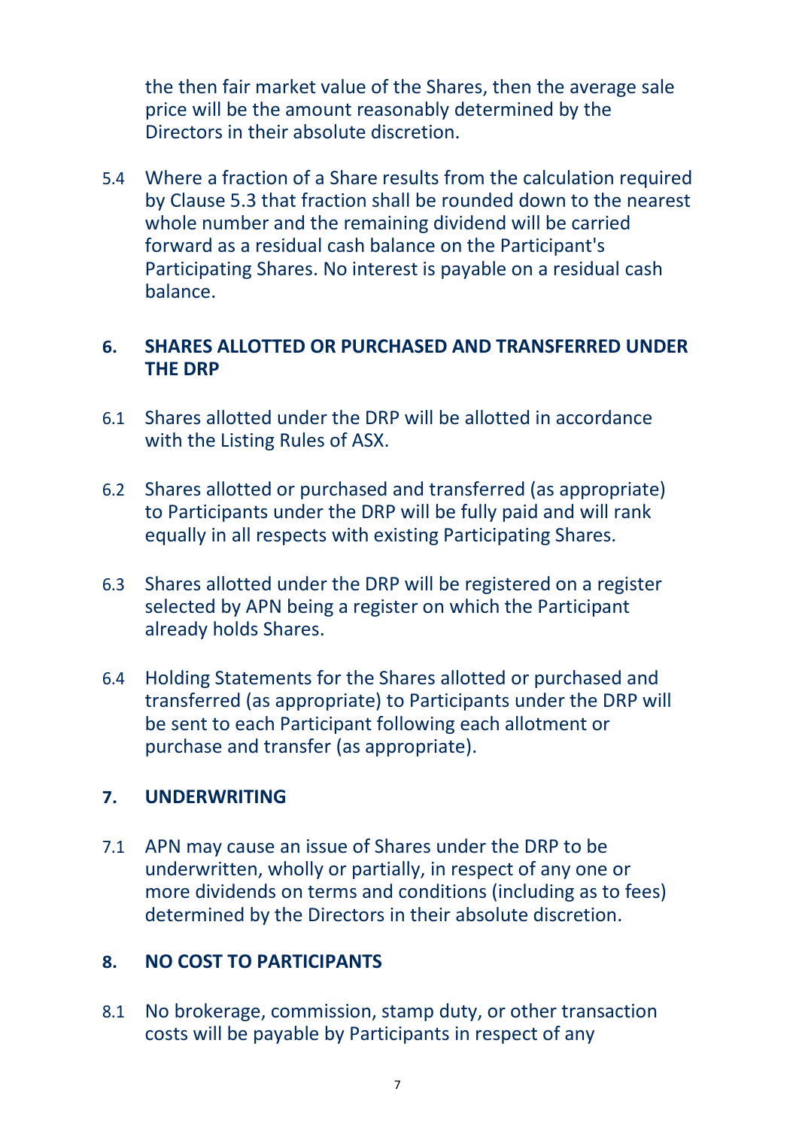the then fair market value of the Shares, then the average sale price will be the amount reasonably determined by the Directors in their absolute discretion.

5.4 Where a fraction of a Share results from the calculation required by Clause 5.3 that fraction shall be rounded down to the nearest whole number and the remaining dividend will be carried forward as a residual cash balance on the Participant's Participating Shares. No interest is payable on a residual cash balance.

#### **6. SHARES ALLOTTED OR PURCHASED AND TRANSFERRED UNDER THE DRP**

- 6.1 Shares allotted under the DRP will be allotted in accordance with the Listing Rules of ASX.
- 6.2 Shares allotted or purchased and transferred (as appropriate) to Participants under the DRP will be fully paid and will rank equally in all respects with existing Participating Shares.
- 6.3 Shares allotted under the DRP will be registered on a register selected by APN being a register on which the Participant already holds Shares.
- 6.4 Holding Statements for the Shares allotted or purchased and transferred (as appropriate) to Participants under the DRP will be sent to each Participant following each allotment or purchase and transfer (as appropriate).

#### **7. UNDERWRITING**

7.1 APN may cause an issue of Shares under the DRP to be underwritten, wholly or partially, in respect of any one or more dividends on terms and conditions (including as to fees) determined by the Directors in their absolute discretion.

### **8. NO COST TO PARTICIPANTS**

8.1 No brokerage, commission, stamp duty, or other transaction costs will be payable by Participants in respect of any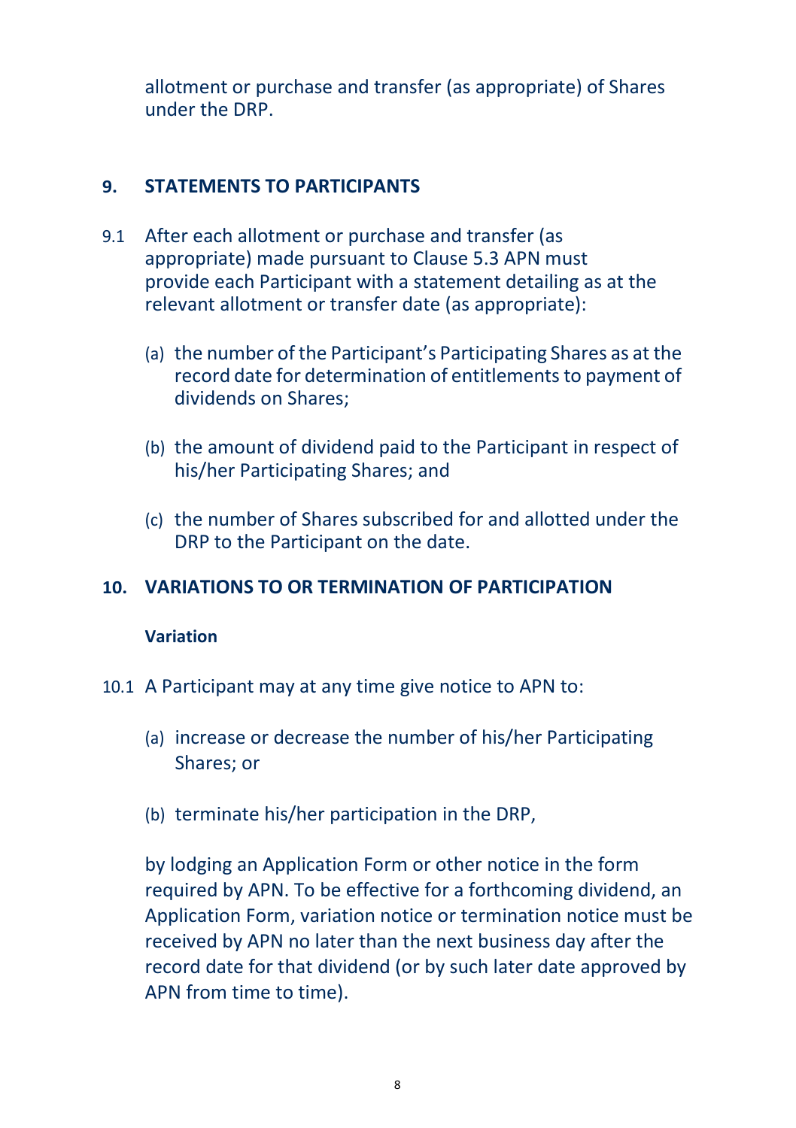allotment or purchase and transfer (as appropriate) of Shares under the DRP.

#### **9. STATEMENTS TO PARTICIPANTS**

- 9.1 After each allotment or purchase and transfer (as appropriate) made pursuant to Clause 5.3 APN must provide each Participant with a statement detailing as at the relevant allotment or transfer date (as appropriate):
	- (a) the number of the Participant's Participating Shares as at the record date for determination of entitlements to payment of dividends on Shares;
	- (b) the amount of dividend paid to the Participant in respect of his/her Participating Shares; and
	- (c) the number of Shares subscribed for and allotted under the DRP to the Participant on the date.

### **10. VARIATIONS TO OR TERMINATION OF PARTICIPATION**

#### **Variation**

- 10.1 A Participant may at any time give notice to APN to:
	- (a) increase or decrease the number of his/her Participating Shares; or
	- (b) terminate his/her participation in the DRP,

by lodging an Application Form or other notice in the form required by APN. To be effective for a forthcoming dividend, an Application Form, variation notice or termination notice must be received by APN no later than the next business day after the record date for that dividend (or by such later date approved by APN from time to time).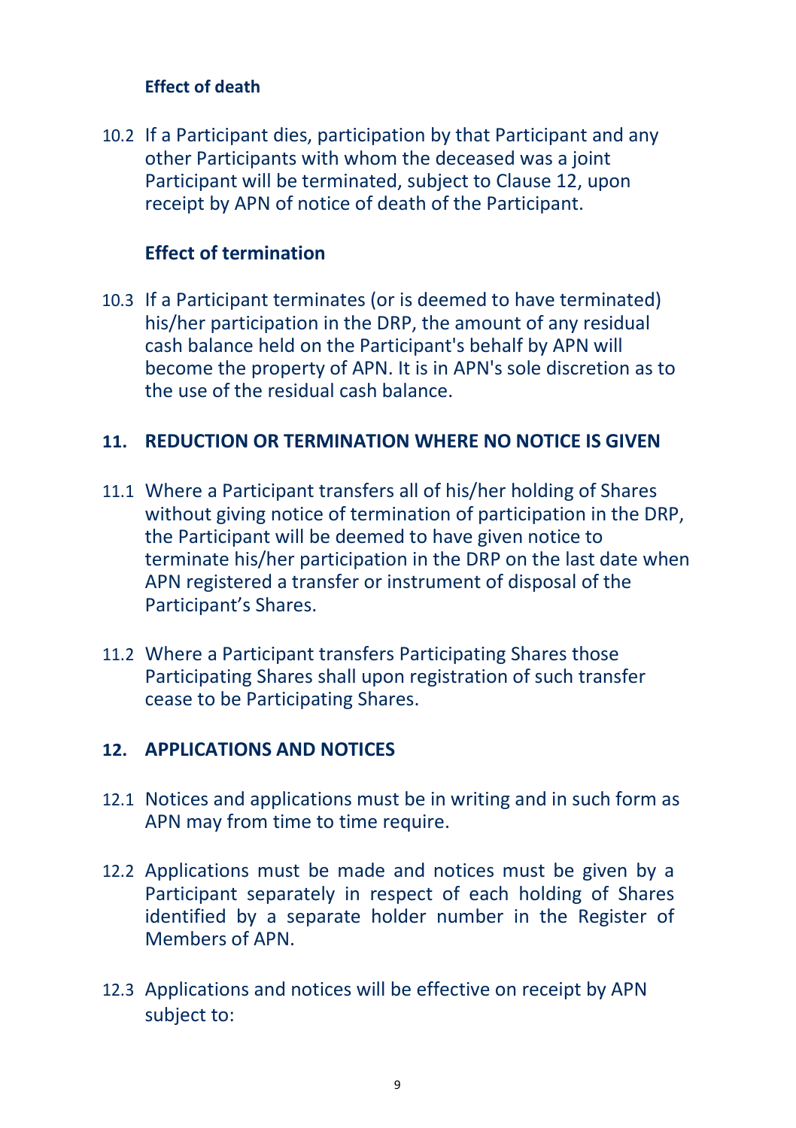#### **Effect of death**

10.2 If a Participant dies, participation by that Participant and any other Participants with whom the deceased was a joint Participant will be terminated, subject to Clause 12, upon receipt by APN of notice of death of the Participant.

#### **Effect of termination**

10.3 If a Participant terminates (or is deemed to have terminated) his/her participation in the DRP, the amount of any residual cash balance held on the Participant's behalf by APN will become the property of APN. It is in APN's sole discretion as to the use of the residual cash balance.

#### **11. REDUCTION OR TERMINATION WHERE NO NOTICE IS GIVEN**

- 11.1 Where a Participant transfers all of his/her holding of Shares without giving notice of termination of participation in the DRP, the Participant will be deemed to have given notice to terminate his/her participation in the DRP on the last date when APN registered a transfer or instrument of disposal of the Participant's Shares.
- 11.2 Where a Participant transfers Participating Shares those Participating Shares shall upon registration of such transfer cease to be Participating Shares.

#### **12. APPLICATIONS AND NOTICES**

- 12.1 Notices and applications must be in writing and in such form as APN may from time to time require.
- 12.2 Applications must be made and notices must be given by a Participant separately in respect of each holding of Shares identified by a separate holder number in the Register of Members of APN.
- 12.3 Applications and notices will be effective on receipt by APN subject to: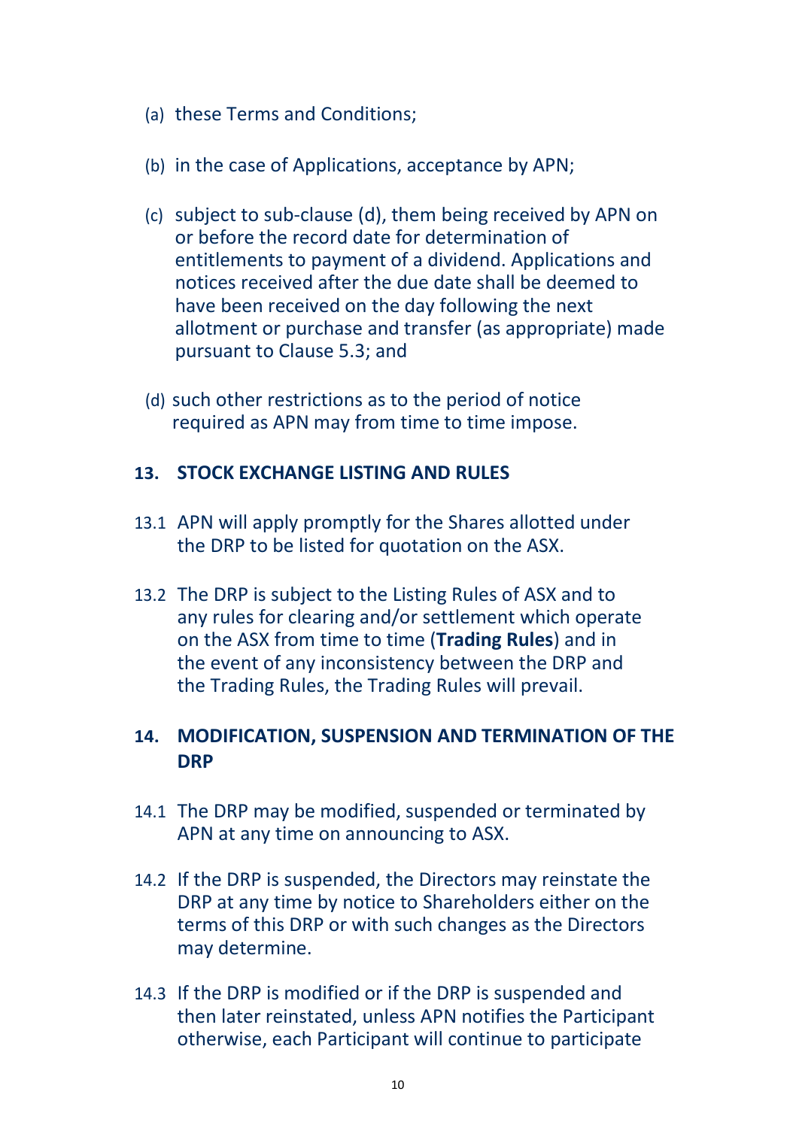- (a) these Terms and Conditions;
- (b) in the case of Applications, acceptance by APN;
- (c) subject to sub-clause (d), them being received by APN on or before the record date for determination of entitlements to payment of a dividend. Applications and notices received after the due date shall be deemed to have been received on the day following the next allotment or purchase and transfer (as appropriate) made pursuant to Clause 5.3; and
- (d) such other restrictions as to the period of notice required as APN may from time to time impose.

#### **13. STOCK EXCHANGE LISTING AND RULES**

- 13.1 APN will apply promptly for the Shares allotted under the DRP to be listed for quotation on the ASX.
- 13.2 The DRP is subject to the Listing Rules of ASX and to any rules for clearing and/or settlement which operate on the ASX from time to time (**Trading Rules**) and in the event of any inconsistency between the DRP and the Trading Rules, the Trading Rules will prevail.

### **14. MODIFICATION, SUSPENSION AND TERMINATION OF THE DRP**

- 14.1 The DRP may be modified, suspended or terminated by APN at any time on announcing to ASX.
- 14.2 If the DRP is suspended, the Directors may reinstate the DRP at any time by notice to Shareholders either on the terms of this DRP or with such changes as the Directors may determine.
- 14.3 If the DRP is modified or if the DRP is suspended and then later reinstated, unless APN notifies the Participant otherwise, each Participant will continue to participate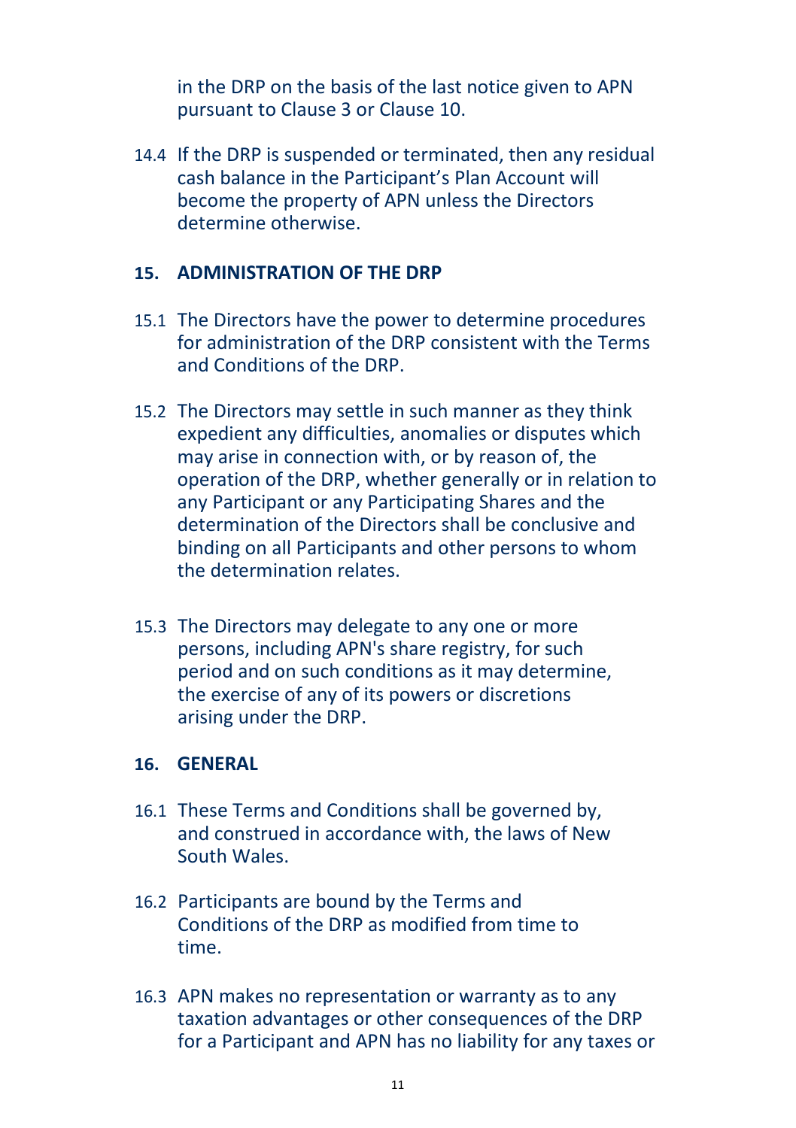in the DRP on the basis of the last notice given to APN pursuant to Clause 3 or Clause 10.

14.4 If the DRP is suspended or terminated, then any residual cash balance in the Participant's Plan Account will become the property of APN unless the Directors determine otherwise.

#### **15. ADMINISTRATION OF THE DRP**

- 15.1 The Directors have the power to determine procedures for administration of the DRP consistent with the Terms and Conditions of the DRP.
- 15.2 The Directors may settle in such manner as they think expedient any difficulties, anomalies or disputes which may arise in connection with, or by reason of, the operation of the DRP, whether generally or in relation to any Participant or any Participating Shares and the determination of the Directors shall be conclusive and binding on all Participants and other persons to whom the determination relates.
- 15.3 The Directors may delegate to any one or more persons, including APN's share registry, for such period and on such conditions as it may determine, the exercise of any of its powers or discretions arising under the DRP.

#### **16. GENERAL**

- 16.1 These Terms and Conditions shall be governed by, and construed in accordance with, the laws of New South Wales.
- 16.2 Participants are bound by the Terms and Conditions of the DRP as modified from time to time.
- 16.3 APN makes no representation or warranty as to any taxation advantages or other consequences of the DRP for a Participant and APN has no liability for any taxes or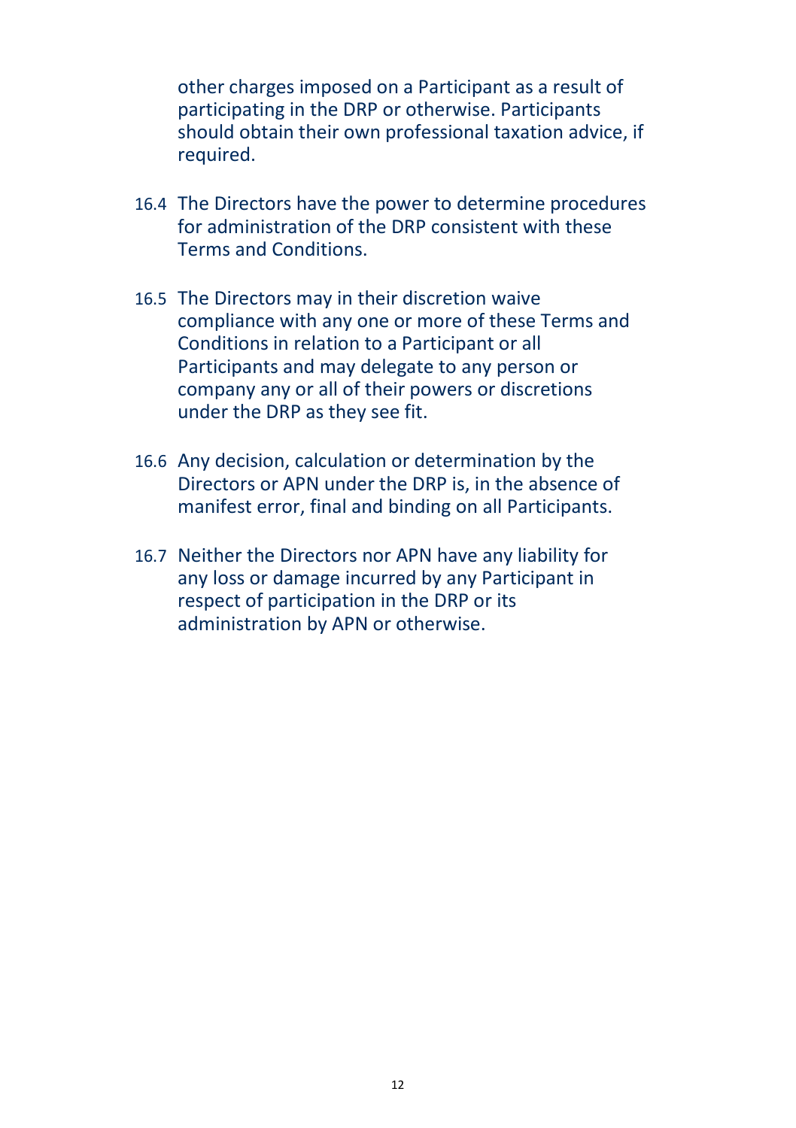other charges imposed on a Participant as a result of participating in the DRP or otherwise. Participants should obtain their own professional taxation advice, if required.

- 16.4 The Directors have the power to determine procedures for administration of the DRP consistent with these Terms and Conditions.
- 16.5 The Directors may in their discretion waive compliance with any one or more of these Terms and Conditions in relation to a Participant or all Participants and may delegate to any person or company any or all of their powers or discretions under the DRP as they see fit.
- 16.6 Any decision, calculation or determination by the Directors or APN under the DRP is, in the absence of manifest error, final and binding on all Participants.
- 16.7 Neither the Directors nor APN have any liability for any loss or damage incurred by any Participant in respect of participation in the DRP or its administration by APN or otherwise.